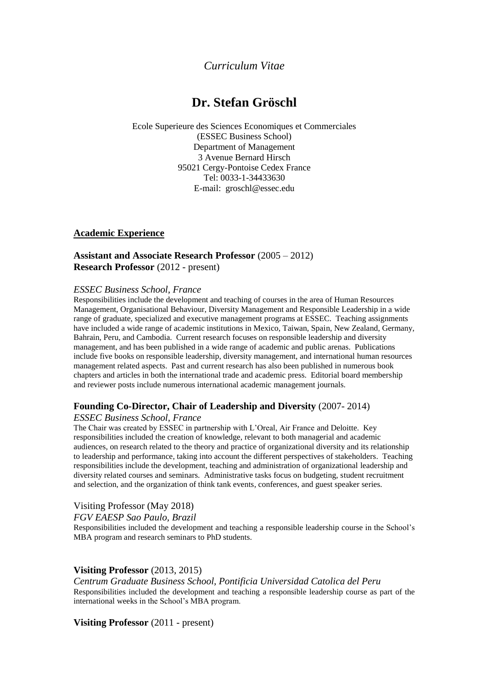# *Curriculum Vitae*

# **Dr. Stefan Gröschl**

Ecole Superieure des Sciences Economiques et Commerciales (ESSEC Business School) Department of Management 3 Avenue Bernard Hirsch 95021 Cergy-Pontoise Cedex France Tel: 0033-1-34433630 E-mail: groschl@essec.edu

### **Academic Experience**

### **Assistant and Associate Research Professor** (2005 – 2012) **Research Professor** (2012 - present)

#### *ESSEC Business School, France*

Responsibilities include the development and teaching of courses in the area of Human Resources Management, Organisational Behaviour, Diversity Management and Responsible Leadership in a wide range of graduate, specialized and executive management programs at ESSEC. Teaching assignments have included a wide range of academic institutions in Mexico, Taiwan, Spain, New Zealand, Germany, Bahrain, Peru, and Cambodia. Current research focuses on responsible leadership and diversity management, and has been published in a wide range of academic and public arenas. Publications include five books on responsible leadership, diversity management, and international human resources management related aspects. Past and current research has also been published in numerous book chapters and articles in both the international trade and academic press. Editorial board membership and reviewer posts include numerous international academic management journals.

### **Founding Co-Director, Chair of Leadership and Diversity** (2007- 2014)

### *ESSEC Business School, France*

The Chair was created by ESSEC in partnership with L'Oreal, Air France and Deloitte. Key responsibilities included the creation of knowledge, relevant to both managerial and academic audiences, on research related to the theory and practice of organizational diversity and its relationship to leadership and performance, taking into account the different perspectives of stakeholders. Teaching responsibilities include the development, teaching and administration of organizational leadership and diversity related courses and seminars. Administrative tasks focus on budgeting, student recruitment and selection, and the organization of think tank events, conferences, and guest speaker series.

### Visiting Professor (May 2018)

### *FGV EAESP Sao Paulo, Brazil*

Responsibilities included the development and teaching a responsible leadership course in the School's MBA program and research seminars to PhD students.

### **Visiting Professor** (2013, 2015)

*Centrum Graduate Business School, Pontificia Universidad Catolica del Peru* Responsibilities included the development and teaching a responsible leadership course as part of the international weeks in the School's MBA program.

**Visiting Professor** (2011 - present)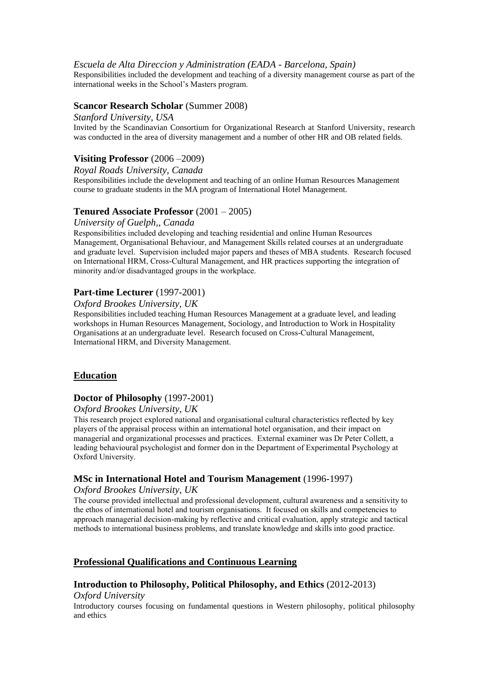#### *Escuela de Alta Direccion y Administration (EADA - Barcelona, Spain)*

Responsibilities included the development and teaching of a diversity management course as part of the international weeks in the School's Masters program.

#### **Scancor Research Scholar** (Summer 2008)

#### *Stanford University, USA*

Invited by the Scandinavian Consortium for Organizational Research at Stanford University, research was conducted in the area of diversity management and a number of other HR and OB related fields.

### **Visiting Professor** (2006 –2009)

### *Royal Roads University, Canada*

Responsibilities include the development and teaching of an online Human Resources Management course to graduate students in the MA program of International Hotel Management.

#### **Tenured Associate Professor** (2001 – 2005)

#### *University of Guelph,, Canada*

Responsibilities included developing and teaching residential and online Human Resources Management, Organisational Behaviour, and Management Skills related courses at an undergraduate and graduate level. Supervision included major papers and theses of MBA students. Research focused on International HRM, Cross-Cultural Management, and HR practices supporting the integration of minority and/or disadvantaged groups in the workplace.

### **Part-time Lecturer** (1997-2001)

#### *Oxford Brookes University, UK*

Responsibilities included teaching Human Resources Management at a graduate level, and leading workshops in Human Resources Management, Sociology, and Introduction to Work in Hospitality Organisations at an undergraduate level. Research focused on Cross-Cultural Management, International HRM, and Diversity Management.

### **Education**

#### **Doctor of Philosophy** (1997-2001)

#### *Oxford Brookes University, UK*

This research project explored national and organisational cultural characteristics reflected by key players of the appraisal process within an international hotel organisation, and their impact on managerial and organizational processes and practices. External examiner was Dr Peter Collett, a leading behavioural psychologist and former don in the Department of Experimental Psychology at Oxford University.

### **MSc in International Hotel and Tourism Management** (1996-1997)

#### *Oxford Brookes University, UK*

The course provided intellectual and professional development, cultural awareness and a sensitivity to the ethos of international hotel and tourism organisations. It focused on skills and competencies to approach managerial decision-making by reflective and critical evaluation, apply strategic and tactical methods to international business problems, and translate knowledge and skills into good practice.

### **Professional Qualifications and Continuous Learning**

#### **Introduction to Philosophy, Political Philosophy, and Ethics** (2012-2013)

#### *Oxford University*

Introductory courses focusing on fundamental questions in Western philosophy, political philosophy and ethics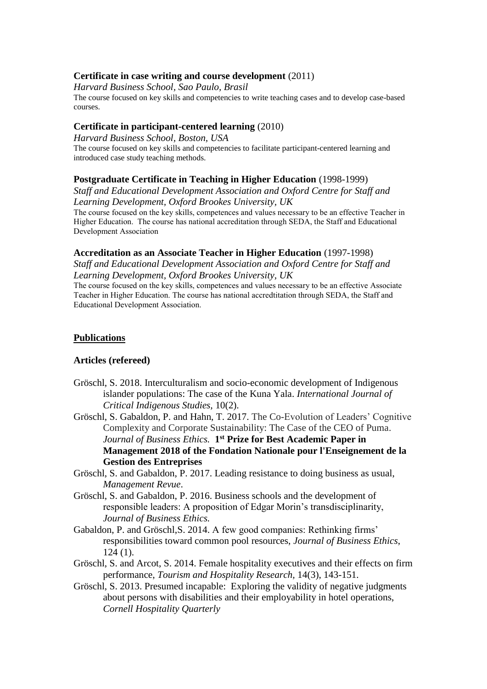### **Certificate in case writing and course development** (2011)

*Harvard Business School, Sao Paulo, Brasil*

The course focused on key skills and competencies to write teaching cases and to develop case-based courses.

### **Certificate in participant-centered learning** (2010)

*Harvard Business School, Boston, USA* The course focused on key skills and competencies to facilitate participant-centered learning and introduced case study teaching methods.

### **Postgraduate Certificate in Teaching in Higher Education** (1998-1999)

*Staff and Educational Development Association and Oxford Centre for Staff and Learning Development, Oxford Brookes University, UK*

The course focused on the key skills, competences and values necessary to be an effective Teacher in Higher Education. The course has national accreditation through SEDA, the Staff and Educational Development Association

#### **Accreditation as an Associate Teacher in Higher Education** (1997-1998)

*Staff and Educational Development Association and Oxford Centre for Staff and Learning Development, Oxford Brookes University, UK*

The course focused on the key skills, competences and values necessary to be an effective Associate Teacher in Higher Education. The course has national accredtitation through SEDA, the Staff and Educational Development Association.

### **Publications**

### **Articles (refereed)**

- Gröschl, S. 2018. Interculturalism and socio-economic development of Indigenous islander populations: The case of the Kuna Yala. *International Journal of Critical Indigenous Studies,* 10(2).
- Gröschl, S. Gabaldon, P. and Hahn, T. 2017. The Co-Evolution of Leaders' Cognitive Complexity and Corporate Sustainability: The Case of the CEO of Puma. *Journal of Business Ethics.* **1 st Prize for Best Academic Paper in Management 2018 of the Fondation Nationale pour l'Enseignement de la Gestion des Entreprises**
- Gröschl, S. and Gabaldon, P. 2017. Leading resistance to doing business as usual, *Management Revue*.
- Gröschl, S. and Gabaldon, P. 2016. Business schools and the development of responsible leaders: A proposition of Edgar Morin's transdisciplinarity, *Journal of Business Ethics.*
- Gabaldon, P. and Gröschl,S. 2014. A few good companies: Rethinking firms' responsibilities toward common pool resources, *Journal of Business Ethics*, 124 (1).
- Gröschl, S. and Arcot, S. 2014. Female hospitality executives and their effects on firm performance, *Tourism and Hospitality Research,* 14(3), 143-151.
- Gröschl, S. 2013. Presumed incapable: Exploring the validity of negative judgments about persons with disabilities and their employability in hotel operations, *Cornell Hospitality Quarterly*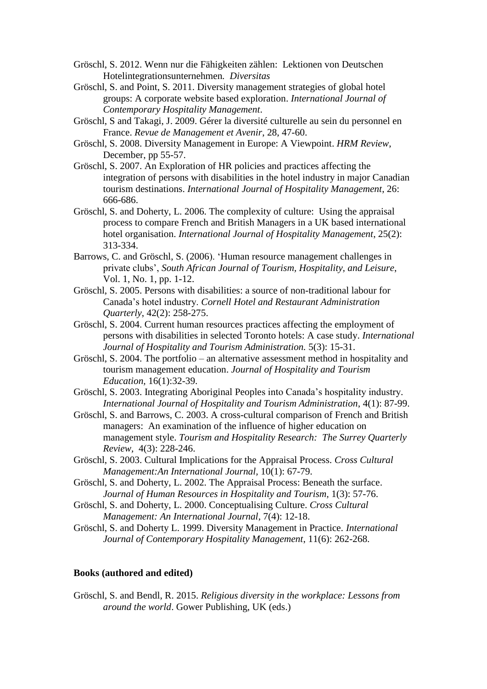- Gröschl, S. 2012. Wenn nur die Fähigkeiten zählen: Lektionen von Deutschen Hotelintegrationsunternehmen*. Diversitas*
- Gröschl, S. and Point, S. 2011. Diversity management strategies of global hotel groups: A corporate website based exploration. *International Journal of Contemporary Hospitality Management*.
- Gröschl, S and Takagi, J. 2009. Gérer la diversité culturelle au sein du personnel en France. *Revue de Management et Avenir*, 28, 47-60.
- Gröschl, S. 2008. Diversity Management in Europe: A Viewpoint. *HRM Review*, December, pp 55-57.
- Gröschl, S. 2007. An Exploration of HR policies and practices affecting the integration of persons with disabilities in the hotel industry in major Canadian tourism destinations. *International Journal of Hospitality Management*, 26: 666-686.
- Gröschl, S. and Doherty, L. 2006. The complexity of culture: Using the appraisal process to compare French and British Managers in a UK based international hotel organisation. *International Journal of Hospitality Management*, 25(2): 313-334.
- Barrows, C. and Gröschl, S. (2006). 'Human resource management challenges in private clubs', *South African Journal of Tourism, Hospitality, and Leisure*, Vol. 1, No. 1, pp. 1-12.
- Gröschl, S. 2005. Persons with disabilities: a source of non-traditional labour for Canada's hotel industry. *Cornell Hotel and Restaurant Administration Quarterly*, 42(2): 258-275.
- Gröschl, S. 2004. Current human resources practices affecting the employment of persons with disabilities in selected Toronto hotels: A case study. *International Journal of Hospitality and Tourism Administration.* 5(3): 15-31.
- Gröschl, S. 2004. The portfolio an alternative assessment method in hospitality and tourism management education. *Journal of Hospitality and Tourism Education,* 16(1):32-39.
- Gröschl, S. 2003. Integrating Aboriginal Peoples into Canada's hospitality industry. *International Journal of Hospitality and Tourism Administration*, 4(1): 87-99.
- Gröschl, S. and Barrows, C. 2003. A cross-cultural comparison of French and British managers: An examination of the influence of higher education on management style. *Tourism and Hospitality Research: The Surrey Quarterly Review,* 4(3): 228-246.
- Gröschl, S. 2003. Cultural Implications for the Appraisal Process. *Cross Cultural Management:An International Journal,* 10(1): 67-79.
- Gröschl, S. and Doherty, L. 2002. The Appraisal Process: Beneath the surface. *Journal of Human Resources in Hospitality and Tourism,* 1(3): 57-76.
- Gröschl, S. and Doherty, L. 2000. Conceptualising Culture. *Cross Cultural Management: An International Journal*, 7(4): 12-18.
- Gröschl, S. and Doherty L. 1999. Diversity Management in Practice. *International Journal of Contemporary Hospitality Management*, 11(6): 262-268.

### **Books (authored and edited)**

Gröschl, S. and Bendl, R. 2015. *Religious diversity in the workplace: Lessons from around the world*. Gower Publishing, UK (eds.)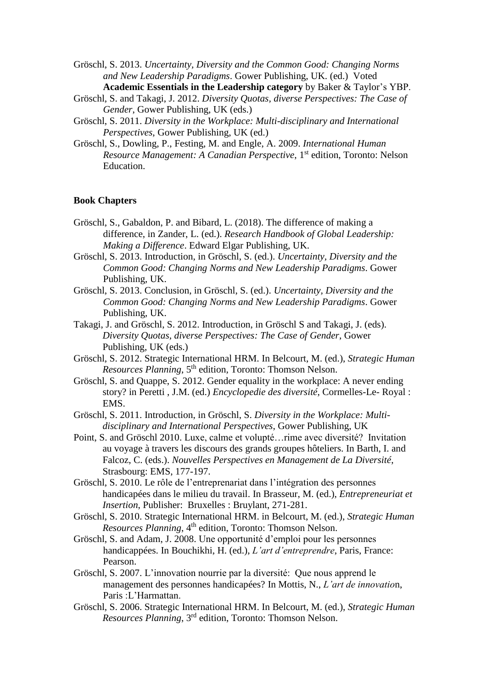Gröschl, S. 2013. *Uncertainty, Diversity and the Common Good: Changing Norms and New Leadership Paradigms*. Gower Publishing, UK. (ed.) Voted **Academic Essentials in the Leadership category** by Baker & Taylor's YBP.

- Gröschl, S. and Takagi, J. 2012. *Diversity Quotas, diverse Perspectives: The Case of Gender*, Gower Publishing, UK (eds.)
- Gröschl, S. 2011. *Diversity in the Workplace: Multi-disciplinary and International Perspectives*, Gower Publishing, UK (ed.)
- Gröschl, S., Dowling, P., Festing, M. and Engle, A. 2009. *International Human Resource Management: A Canadian Perspective*, 1<sup>st</sup> edition, Toronto: Nelson Education.

### **Book Chapters**

- Gröschl, S., Gabaldon, P. and Bibard, L. (2018). The difference of making a difference, in Zander, L. (ed.). *Research Handbook of Global Leadership: Making a Difference*. Edward Elgar Publishing, UK.
- Gröschl, S. 2013. Introduction, in Gröschl, S. (ed.). *Uncertainty, Diversity and the Common Good: Changing Norms and New Leadership Paradigms*. Gower Publishing, UK.
- Gröschl, S. 2013. Conclusion, in Gröschl, S. (ed.). *Uncertainty, Diversity and the Common Good: Changing Norms and New Leadership Paradigms*. Gower Publishing, UK.
- Takagi, J. and Gröschl, S. 2012. Introduction, in Gröschl S and Takagi, J. (eds). *Diversity Quotas, diverse Perspectives: The Case of Gender*, Gower Publishing, UK (eds.)
- Gröschl, S. 2012. Strategic International HRM. In Belcourt, M. (ed.), *Strategic Human Resources Planning*, 5<sup>th</sup> edition, Toronto: Thomson Nelson.
- Gröschl, S. and Quappe, S. 2012. Gender equality in the workplace: A never ending story? in Peretti , J.M. (ed.) *Encyclopedie des diversité*, Cormelles-Le- Royal : EMS.
- Gröschl, S. 2011. Introduction, in Gröschl, S. *Diversity in the Workplace: Multidisciplinary and International Perspectives*, Gower Publishing, UK
- Point, S. and Gröschl 2010. Luxe, calme et volupté…rime avec diversité? Invitation au voyage à travers les discours des grands groupes hôteliers. In Barth, I. and Falcoz, C. (eds.). *Nouvelles Perspectives en Management de La Diversité*, Strasbourg: EMS, 177-197.
- Gröschl, S. 2010. Le rôle de l'entreprenariat dans l'intégration des personnes handicapées dans le milieu du travail. In Brasseur, M. (ed.), *Entrepreneuriat et Insertion*, Publisher: Bruxelles : Bruylant, 271-281.
- Gröschl, S. 2010. Strategic International HRM. in Belcourt, M. (ed.), *Strategic Human*  Resources Planning, 4<sup>th</sup> edition, Toronto: Thomson Nelson.
- Gröschl, S. and Adam, J. 2008. Une opportunité d'emploi pour les personnes handicappées. In Bouchikhi, H. (ed.), *L'art d'entreprendre*, Paris, France: Pearson.
- Gröschl, S. 2007. L'innovation nourrie par la diversité: Que nous apprend le management des personnes handicapées? In Mottis, N., *L'art de innovatio*n, Paris :L'Harmattan.
- Gröschl, S. 2006. Strategic International HRM. In Belcourt, M. (ed.), *Strategic Human Resources Planning*, 3rd edition, Toronto: Thomson Nelson.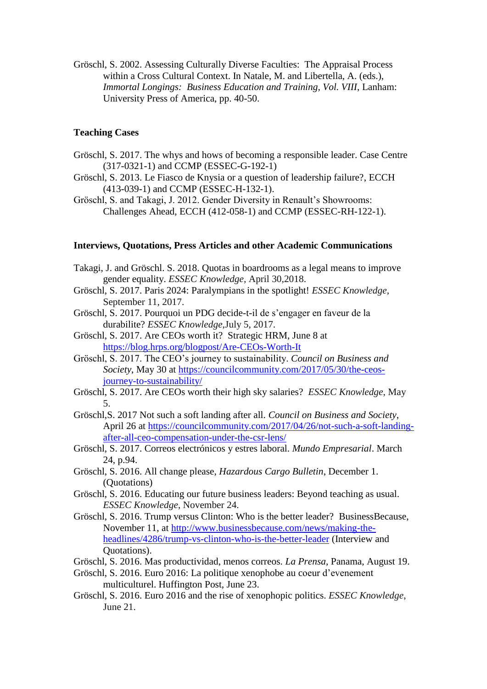Gröschl, S. 2002. Assessing Culturally Diverse Faculties: The Appraisal Process within a Cross Cultural Context. In Natale, M. and Libertella, A. (eds.), *Immortal Longings: Business Education and Training, Vol. VIII*, Lanham: University Press of America, pp. 40-50.

### **Teaching Cases**

- Gröschl, S. 2017. The whys and hows of becoming a responsible leader. Case Centre (317-0321-1) and CCMP (ESSEC-G-192-1)
- Gröschl, S. 2013. Le Fiasco de Knysia or a question of leadership failure?, ECCH (413-039-1) and CCMP (ESSEC-H-132-1).
- Gröschl, S. and Takagi, J. 2012. Gender Diversity in Renault's Showrooms: Challenges Ahead, ECCH (412-058-1) and CCMP (ESSEC-RH-122-1).

#### **Interviews, Quotations, Press Articles and other Academic Communications**

- Takagi, J. and Gröschl. S. 2018. Quotas in boardrooms as a legal means to improve gender equality. *ESSEC Knowledge,* April 30,2018.
- Gröschl, S. 2017. Paris 2024: Paralympians in the spotlight! *ESSEC Knowledge*, September 11, 2017.
- Gröschl, S. 2017. Pourquoi un PDG decide-t-il de s'engager en faveur de la durabilite? *ESSEC Knowledge*,July 5, 2017.
- Gröschl, S. 2017. Are CEOs worth it? Strategic HRM, June 8 at <https://blog.hrps.org/blogpost/Are-CEOs-Worth-It>
- Gröschl, S. 2017. The CEO's journey to sustainability. *Council on Business and Society*, May 30 at [https://councilcommunity.com/2017/05/30/the-ceos](https://councilcommunity.com/2017/05/30/the-ceos-journey-to-sustainability/)[journey-to-sustainability/](https://councilcommunity.com/2017/05/30/the-ceos-journey-to-sustainability/)
- Gröschl, S. 2017. Are CEOs worth their high sky salaries? *ESSEC Knowledge*, May 5.
- Gröschl,S. 2017 Not such a soft landing after all. *Council on Business and Society*, April 26 at [https://councilcommunity.com/2017/04/26/not-such-a-soft-landing](https://councilcommunity.com/2017/04/26/not-such-a-soft-landing-after-all-ceo-compensation-under-the-csr-lens/)[after-all-ceo-compensation-under-the-csr-lens/](https://councilcommunity.com/2017/04/26/not-such-a-soft-landing-after-all-ceo-compensation-under-the-csr-lens/)
- Gröschl, S. 2017. Correos electrónicos y estres laboral. *Mundo Empresarial*. March 24, p.94.
- Gröschl, S. 2016. All change please, *Hazardous Cargo Bulletin*, December 1. (Quotations)
- Gröschl, S. 2016. Educating our future business leaders: Beyond teaching as usual. *ESSEC Knowledge*, November 24.
- Gröschl, S. 2016. Trump versus Clinton: Who is the better leader? BusinessBecause, November 11, at [http://www.businessbecause.com/news/making-the](http://www.businessbecause.com/news/making-the-headlines/4286/trump-vs-clinton-who-is-the-better-leader)[headlines/4286/trump-vs-clinton-who-is-the-better-leader](http://www.businessbecause.com/news/making-the-headlines/4286/trump-vs-clinton-who-is-the-better-leader) (Interview and Quotations).
- Gröschl, S. 2016. Mas productividad, menos correos. *La Prensa*, Panama, August 19.
- Gröschl, S. 2016. Euro 2016: La politique xenophobe au coeur d'evenement multiculturel. Huffington Post, June 23.
- Gröschl, S. 2016. Euro 2016 and the rise of xenophopic politics. *ESSEC Knowledge*, June 21.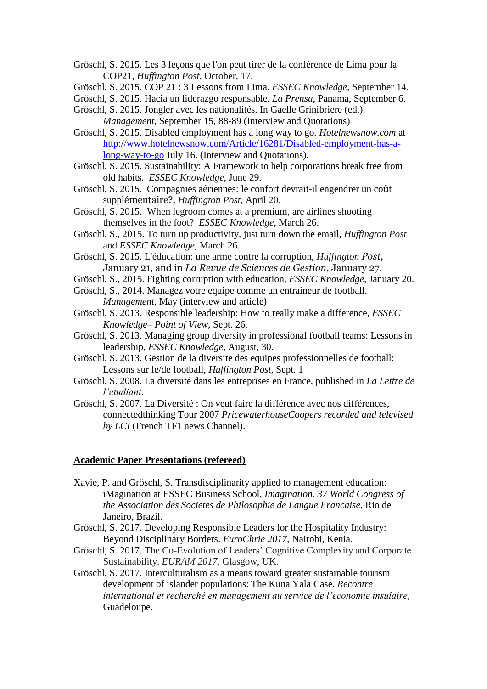- Gröschl, S. 2015. Les 3 leçons que l'on peut tirer de la conférence de Lima pour la COP21, *Huffington Post,* October, 17.
- Gröschl, S. 2015. COP 21 : 3 Lessons from Lima. *ESSEC Knowledge*, September 14.
- Gröschl, S. 2015. Hacia un liderazgo responsable. *La Prensa*, Panama, September 6. Gröschl, S. 2015. Jongler avec les nationalités. In Gaelle Grinibriere (ed.).
- *Management*, September 15, 88-89 (Interview and Quotations)
- Gröschl, S. 2015. Disabled employment has a long way to go. *Hotelnewsnow.com* at [http://www.hotelnewsnow.com/Article/16281/Disabled-employment-has-a](http://www.hotelnewsnow.com/Article/16281/Disabled-employment-has-a-long-way-to-go)[long-way-to-go](http://www.hotelnewsnow.com/Article/16281/Disabled-employment-has-a-long-way-to-go) July 16. (Interview and Quotations).
- Gröschl, S. 2015. Sustainability: A Framework to help corporations break free from old habits. *ESSEC Knowledge*, June 29.
- Gröschl, S. 2015. Compagnies aériennes: le confort devrait-il engendrer un coût supplémentaire?, *Huffington Post,* April 20.
- Gröschl, S. 2015. When legroom comes at a premium, are airlines shooting themselves in the foot? *ESSEC Knowledge*, March 26.
- Gröschl, S., 2015. To turn up productivity, just turn down the email, *Huffington Post* and *ESSEC Knowledge,* March 26.
- Gröschl, S. 2015. L'éducation: une arme contre la corruption, *Huffington Post*, January 21, and in *La Revue de Sciences de Gestion*, January 27.
- Gröschl, S., 2015. Fighting corruption with education, *ESSEC Knowledge*, January 20.
- Gröschl, S., 2014. Managez votre equipe comme un entraineur de football. *Management*, May (interview and article)
- Gröschl, S. 2013. Responsible leadership: How to really make a difference, *ESSEC Knowledge– Point of View*, Sept. 26.
- Gröschl, S. 2013. Managing group diversity in professional football teams: Lessons in leadership, *ESSEC Knowledge*, August, 30.
- Gröschl, S. 2013. Gestion de la diversite des equipes professionnelles de football: Lessons sur le/de football, *Huffington Post,* Sept. 1
- Gröschl, S. 2008. La diversité dans les entreprises en France, published in *La Lettre de l'etudiant*.
- Gröschl, S. 2007. La Diversité : On veut faire la différence avec nos différences, connectedthinking Tour 2007 *PricewaterhouseCoopers recorded and televised by LCI* (French TF1 news Channel).

### **Academic Paper Presentations (refereed)**

- Xavie, P. and Gröschl, S. Transdisciplinarity applied to management education: iMagination at ESSEC Business School, *Imagination. 37 World Congress of the Association des Societes de Philosophie de Langue Francaise*, Rio de Janeiro, Brazil.
- Gröschl, S. 2017. Developing Responsible Leaders for the Hospitality Industry: Beyond Disciplinary Borders. *EuroChrie 2017*, Nairobi, Kenia.
- Gröschl, S. 2017. The Co-Evolution of Leaders' Cognitive Complexity and Corporate Sustainability. *EURAM 2017*, Glasgow, UK.
- Gröschl, S. 2017. Interculturalism as a means toward greater sustainable tourism development of islander populations: The Kuna Yala Case. *Recontre international et recherché en management au service de l'economie insulaire*, Guadeloupe.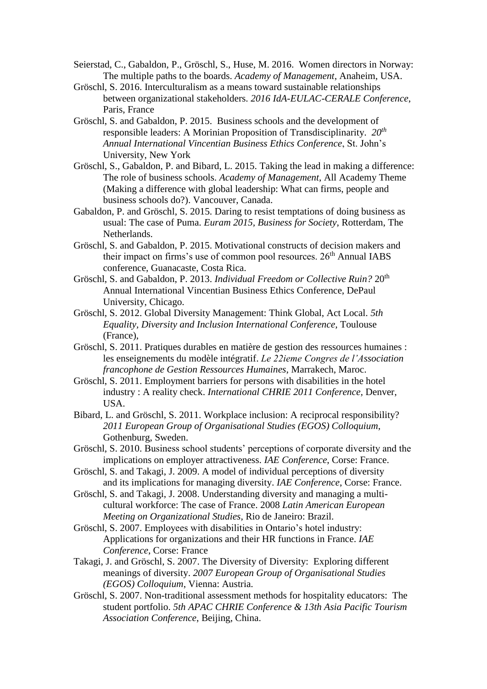- Seierstad, C., Gabaldon, P., Gröschl, S., Huse, M. 2016. Women directors in Norway: The multiple paths to the boards. *Academy of Management*, Anaheim, USA.
- Gröschl, S. 2016. Interculturalism as a means toward sustainable relationships between organizational stakeholders. *2016 IdA-EULAC-CERALE Conference*, Paris, France
- Gröschl, S. and Gabaldon, P. 2015. Business schools and the development of responsible leaders: A Morinian Proposition of Transdisciplinarity. *20th Annual International Vincentian Business Ethics Conference*, St. John's University, New York
- Gröschl, S., Gabaldon, P. and Bibard, L. 2015. Taking the lead in making a difference: The role of business schools. *Academy of Management*, All Academy Theme (Making a difference with global leadership: What can firms, people and business schools do?). Vancouver, Canada.
- Gabaldon, P. and Gröschl, S. 2015. Daring to resist temptations of doing business as usual: The case of Puma. *Euram 2015, Business for Society*, Rotterdam, The Netherlands.
- Gröschl, S. and Gabaldon, P. 2015. Motivational constructs of decision makers and their impact on firms's use of common pool resources.  $26<sup>th</sup>$  Annual IABS conference, Guanacaste, Costa Rica.
- Gröschl, S. and Gabaldon, P. 2013. *Individual Freedom or Collective Ruin?* 20th Annual International Vincentian Business Ethics Conference, DePaul University, Chicago.
- Gröschl, S. 2012. Global Diversity Management: Think Global, Act Local. *5th Equality, Diversity and Inclusion International Conference,* Toulouse (France),
- Gröschl, S. 2011. Pratiques durables en matière de gestion des ressources humaines : les enseignements du modèle intégratif. *Le 22ieme Congres de l'Association francophone de Gestion Ressources Humaines*, Marrakech, Maroc.
- Gröschl, S. 2011. Employment barriers for persons with disabilities in the hotel industry : A reality check. *International CHRIE 2011 Conference,* Denver, USA.
- Bibard, L. and Gröschl, S. 2011. Workplace inclusion: A reciprocal responsibility? *2011 European Group of Organisational Studies (EGOS) Colloquium*, Gothenburg, Sweden.
- Gröschl, S. 2010. Business school students' perceptions of corporate diversity and the implications on employer attractiveness. *IAE Conference*, Corse: France.
- Gröschl, S. and Takagi, J. 2009. A model of individual perceptions of diversity and its implications for managing diversity. *IAE Conference*, Corse: France.
- Gröschl, S. and Takagi, J. 2008. Understanding diversity and managing a multicultural workforce: The case of France. 2008 *Latin American European Meeting on Organizational Studies*, Rio de Janeiro: Brazil.
- Gröschl, S. 2007. Employees with disabilities in Ontario's hotel industry: Applications for organizations and their HR functions in France. *IAE Conference*, Corse: France
- Takagi, J. and Gröschl, S. 2007. The Diversity of Diversity: Exploring different meanings of diversity. *2007 European Group of Organisational Studies (EGOS) Colloquium*, Vienna: Austria.
- Gröschl, S. 2007. Non-traditional assessment methods for hospitality educators: The student portfolio. *5th APAC CHRIE Conference & 13th Asia Pacific Tourism Association Conference*, Beijing, China.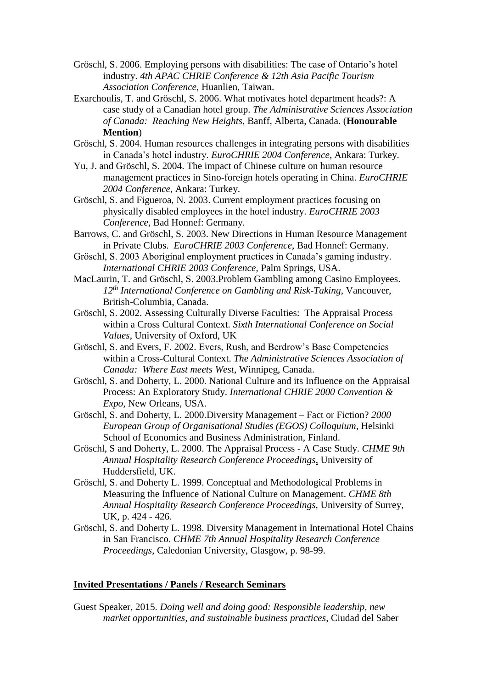- Gröschl, S. 2006. Employing persons with disabilities: The case of Ontario's hotel industry. *4th APAC CHRIE Conference & 12th Asia Pacific Tourism Association Conference*, Huanlien, Taiwan.
- Exarchoulis, T. and Gröschl, S. 2006. What motivates hotel department heads?: A case study of a Canadian hotel group. *The Administrative Sciences Association of Canada: Reaching New Heights*, Banff, Alberta, Canada. (**Honourable Mention**)
- Gröschl, S. 2004. Human resources challenges in integrating persons with disabilities in Canada's hotel industry. *EuroCHRIE 2004 Conference*, Ankara: Turkey.
- Yu, J. and Gröschl, S. 2004. The impact of Chinese culture on human resource management practices in Sino-foreign hotels operating in China. *EuroCHRIE 2004 Conference*, Ankara: Turkey.
- Gröschl, S. and Figueroa, N. 2003. Current employment practices focusing on physically disabled employees in the hotel industry. *EuroCHRIE 2003 Conference*, Bad Honnef: Germany.
- Barrows, C. and Gröschl, S. 2003. New Directions in Human Resource Management in Private Clubs. *EuroCHRIE 2003 Conference*, Bad Honnef: Germany.
- Gröschl, S. 2003 Aboriginal employment practices in Canada's gaming industry. *International CHRIE 2003 Conference,* Palm Springs, USA.
- MacLaurin, T. and Gröschl, S. 2003.Problem Gambling among Casino Employees. *12th International Conference on Gambling and Risk-Taking*, Vancouver, British-Columbia, Canada.
- Gröschl, S. 2002. Assessing Culturally Diverse Faculties: The Appraisal Process within a Cross Cultural Context. *Sixth International Conference on Social Values*, University of Oxford, UK
- Gröschl, S. and Evers, F. 2002. Evers, Rush, and Berdrow's Base Competencies within a Cross-Cultural Context. *The Administrative Sciences Association of Canada: Where East meets West*, Winnipeg, Canada.
- Gröschl, S. and Doherty, L. 2000. National Culture and its Influence on the Appraisal Process: An Exploratory Study. *International CHRIE 2000 Convention & Expo*, New Orleans, USA.
- Gröschl, S. and Doherty, L. 2000.Diversity Management Fact or Fiction? *2000 European Group of Organisational Studies (EGOS) Colloquium*, Helsinki School of Economics and Business Administration, Finland.
- Gröschl, S and Doherty, L. 2000. The Appraisal Process A Case Study. *CHME 9th Annual Hospitality Research Conference Proceedings*, University of Huddersfield, UK.
- Gröschl, S. and Doherty L. 1999. Conceptual and Methodological Problems in Measuring the Influence of National Culture on Management. *CHME 8th Annual Hospitality Research Conference Proceedings,* University of Surrey, UK, p. 424 - 426.
- Gröschl, S. and Doherty L. 1998. Diversity Management in International Hotel Chains in San Francisco. *CHME 7th Annual Hospitality Research Conference Proceedings*, Caledonian University, Glasgow, p. 98-99.

### **Invited Presentations / Panels / Research Seminars**

Guest Speaker, 2015. *Doing well and doing good: Responsible leadership, new market opportunities, and sustainable business practices*, Ciudad del Saber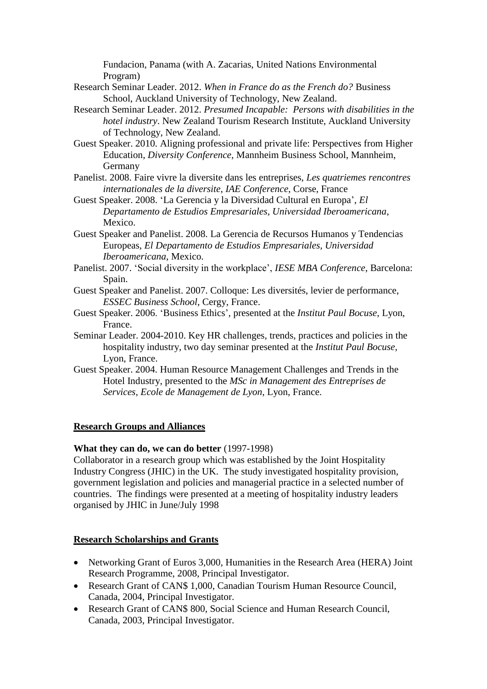Fundacion, Panama (with A. Zacarias, United Nations Environmental Program)

- Research Seminar Leader. 2012. *When in France do as the French do?* Business School, Auckland University of Technology, New Zealand.
- Research Seminar Leader. 2012. *Presumed Incapable: Persons with disabilities in the hotel industry*. New Zealand Tourism Research Institute, Auckland University of Technology, New Zealand.
- Guest Speaker. 2010. Aligning professional and private life: Perspectives from Higher Education, *Diversity Conference*, Mannheim Business School, Mannheim, Germany
- Panelist. 2008. Faire vivre la diversite dans les entreprises, *Les quatriemes rencontres internationales de la diversite*, *IAE Conference*, Corse, France
- Guest Speaker. 2008. 'La Gerencia y la Diversidad Cultural en Europa', *El Departamento de Estudios Empresariales, Universidad Iberoamericana*, Mexico.
- Guest Speaker and Panelist. 2008. La Gerencia de Recursos Humanos y Tendencias Europeas, *El Departamento de Estudios Empresariales, Universidad Iberoamericana*, Mexico.
- Panelist. 2007. 'Social diversity in the workplace', *IESE MBA Conference*, Barcelona: Spain.
- Guest Speaker and Panelist. 2007. Colloque: Les diversités, levier de performance, *ESSEC Business School*, Cergy, France.
- Guest Speaker. 2006. 'Business Ethics', presented at the *Institut Paul Bocuse*, Lyon, France.
- Seminar Leader. 2004-2010. Key HR challenges, trends, practices and policies in the hospitality industry, two day seminar presented at the *Institut Paul Bocuse*, Lyon, France.
- Guest Speaker. 2004. Human Resource Management Challenges and Trends in the Hotel Industry, presented to the *MSc in Management des Entreprises de Services, Ecole de Management de Lyon*, Lyon, France.

# **Research Groups and Alliances**

### **What they can do, we can do better** (1997-1998)

Collaborator in a research group which was established by the Joint Hospitality Industry Congress (JHIC) in the UK. The study investigated hospitality provision, government legislation and policies and managerial practice in a selected number of countries. The findings were presented at a meeting of hospitality industry leaders organised by JHIC in June/July 1998

# **Research Scholarships and Grants**

- Networking Grant of Euros 3,000, Humanities in the Research Area (HERA) Joint Research Programme, 2008, Principal Investigator.
- Research Grant of CAN\$ 1,000, Canadian Tourism Human Resource Council, Canada, 2004, Principal Investigator.
- Research Grant of CAN\$ 800, Social Science and Human Research Council, Canada, 2003, Principal Investigator.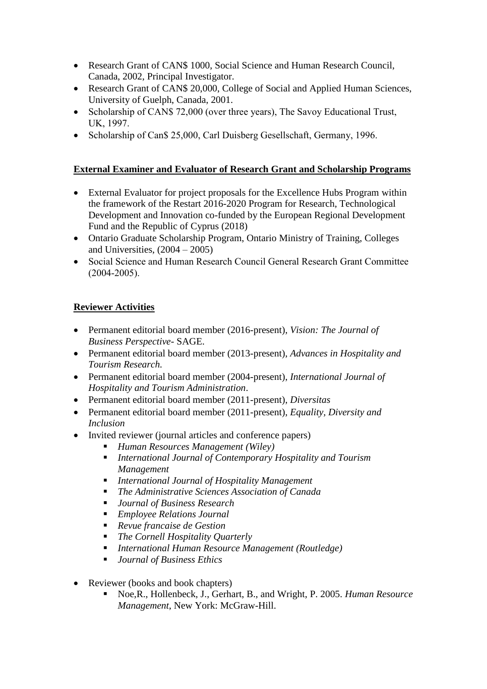- Research Grant of CAN\$ 1000, Social Science and Human Research Council, Canada, 2002, Principal Investigator.
- Research Grant of CAN\$ 20,000, College of Social and Applied Human Sciences, University of Guelph, Canada, 2001.
- Scholarship of CAN\$ 72,000 (over three years), The Savoy Educational Trust, UK, 1997.
- Scholarship of Can\$ 25,000, Carl Duisberg Gesellschaft, Germany, 1996.

# **External Examiner and Evaluator of Research Grant and Scholarship Programs**

- External Evaluator for project proposals for the Excellence Hubs Program within the framework of the Restart 2016-2020 Program for Research, Technological Development and Innovation co-funded by the European Regional Development Fund and the Republic of Cyprus (2018)
- Ontario Graduate Scholarship Program, Ontario Ministry of Training, Colleges and Universities,  $(2004 - 2005)$
- Social Science and Human Research Council General Research Grant Committee (2004-2005).

# **Reviewer Activities**

- Permanent editorial board member (2016-present), *Vision: The Journal of Business Perspective*- SAGE.
- Permanent editorial board member (2013-present), *Advances in Hospitality and Tourism Research.*
- Permanent editorial board member (2004-present), *International Journal of Hospitality and Tourism Administration*.
- Permanent editorial board member (2011-present), *Diversitas*
- Permanent editorial board member (2011-present), *Equality, Diversity and Inclusion*
- Invited reviewer (journal articles and conference papers)
	- *Human Resources Management (Wiley)*
	- *International Journal of Contemporary Hospitality and Tourism Management*
	- *International Journal of Hospitality Management*
	- *The Administrative Sciences Association of Canada*
	- *Journal of Business Research*
	- *Employee Relations Journal*
	- *Revue francaise de Gestion*
	- *The Cornell Hospitality Quarterly*
	- *International Human Resource Management (Routledge)*
	- *Journal of Business Ethics*
- Reviewer (books and book chapters)
	- Noe,R., Hollenbeck, J., Gerhart, B., and Wright, P. 2005. *Human Resource Management*, New York: McGraw-Hill.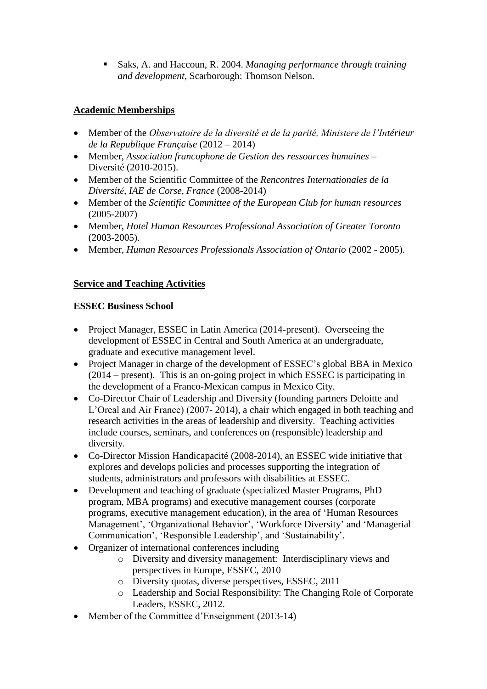Saks, A. and Haccoun, R. 2004. *Managing performance through training and development*, Scarborough: Thomson Nelson.

# **Academic Memberships**

- Member of the *Observatoire de la diversité et de la parité, Ministere de l'Intérieur de la Republique Française* (2012 – 2014)
- Member, *Association francophone de Gestion des ressources humaines* Diversité (2010-2015).
- Member of the Scientific Committee of the *Rencontres Internationales de la Diversité, IAE de Corse*, *France* (2008-2014)
- Member of the *Scientific Committee of the European Club for human resources* (2005-2007)
- Member, *Hotel Human Resources Professional Association of Greater Toronto* (2003-2005).
- Member, *Human Resources Professionals Association of Ontario* (2002 2005).

# **Service and Teaching Activities**

# **ESSEC Business School**

- Project Manager, ESSEC in Latin America (2014-present). Overseeing the development of ESSEC in Central and South America at an undergraduate, graduate and executive management level.
- Project Manager in charge of the development of ESSEC's global BBA in Mexico (2014 – present). This is an on-going project in which ESSEC is participating in the development of a Franco-Mexican campus in Mexico City.
- Co-Director Chair of Leadership and Diversity (founding partners Deloitte and L'Oreal and Air France) (2007- 2014), a chair which engaged in both teaching and research activities in the areas of leadership and diversity. Teaching activities include courses, seminars, and conferences on (responsible) leadership and diversity.
- Co-Director Mission Handicapacité (2008-2014), an ESSEC wide initiative that explores and develops policies and processes supporting the integration of students, administrators and professors with disabilities at ESSEC.
- Development and teaching of graduate (specialized Master Programs, PhD program, MBA programs) and executive management courses (corporate programs, executive management education), in the area of 'Human Resources Management', 'Organizational Behavior', 'Workforce Diversity' and 'Managerial Communication', 'Responsible Leadership', and 'Sustainability'.
- Organizer of international conferences including
	- o Diversity and diversity management: Interdisciplinary views and perspectives in Europe, ESSEC, 2010
	- o Diversity quotas, diverse perspectives, ESSEC, 2011
	- o Leadership and Social Responsibility: The Changing Role of Corporate Leaders, ESSEC, 2012.
- Member of the Committee d'Enseignment (2013-14)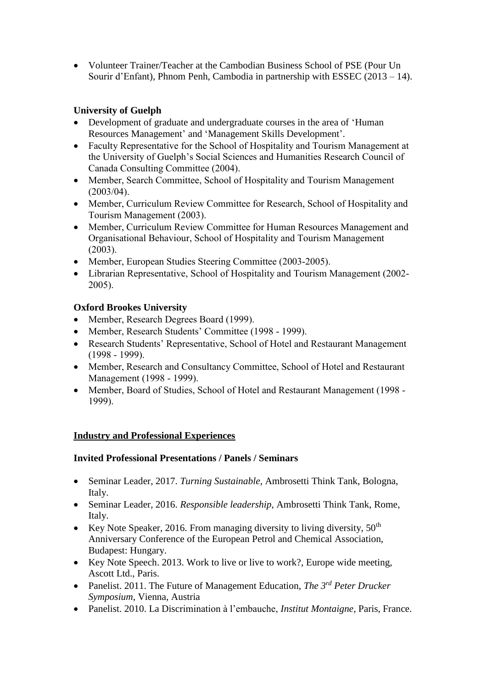Volunteer Trainer/Teacher at the Cambodian Business School of PSE (Pour Un Sourir d'Enfant), Phnom Penh, Cambodia in partnership with ESSEC (2013 – 14).

# **University of Guelph**

- Development of graduate and undergraduate courses in the area of 'Human Resources Management' and 'Management Skills Development'.
- Faculty Representative for the School of Hospitality and Tourism Management at the University of Guelph's Social Sciences and Humanities Research Council of Canada Consulting Committee (2004).
- Member, Search Committee, School of Hospitality and Tourism Management (2003/04).
- Member, Curriculum Review Committee for Research, School of Hospitality and Tourism Management (2003).
- Member, Curriculum Review Committee for Human Resources Management and Organisational Behaviour, School of Hospitality and Tourism Management (2003).
- Member, European Studies Steering Committee (2003-2005).
- Librarian Representative, School of Hospitality and Tourism Management (2002- 2005).

# **Oxford Brookes University**

- Member, Research Degrees Board (1999).
- Member, Research Students' Committee (1998 1999).
- Research Students' Representative, School of Hotel and Restaurant Management (1998 - 1999).
- Member, Research and Consultancy Committee, School of Hotel and Restaurant Management (1998 - 1999).
- Member, Board of Studies, School of Hotel and Restaurant Management (1998 1999).

# **Industry and Professional Experiences**

# **Invited Professional Presentations / Panels / Seminars**

- Seminar Leader, 2017. *Turning Sustainable*, Ambrosetti Think Tank, Bologna, Italy.
- Seminar Leader, 2016. *Responsible leadership*, Ambrosetti Think Tank, Rome, Italy.
- Exercise Note Speaker, 2016. From managing diversity to living diversity,  $50<sup>th</sup>$ Anniversary Conference of the European Petrol and Chemical Association, Budapest: Hungary.
- Key Note Speech. 2013. Work to live or live to work?, Europe wide meeting, Ascott Ltd., Paris.
- Panelist. 2011. The Future of Management Education, *The 3rd Peter Drucker Symposium*, Vienna, Austria
- Panelist. 2010. La Discrimination à l'embauche, *Institut Montaigne*, Paris, France.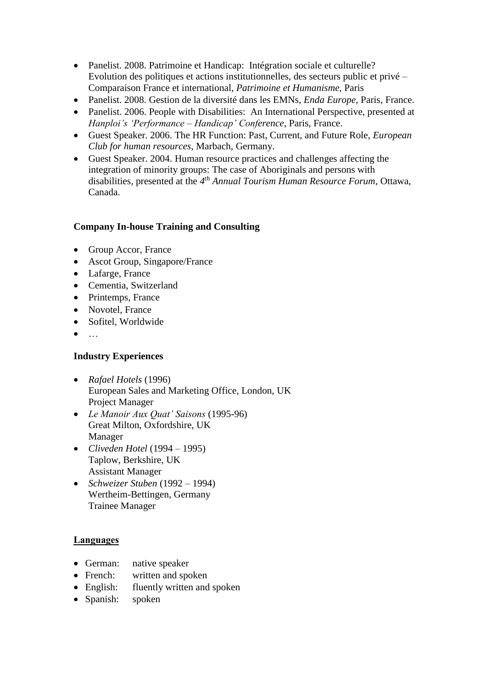- Panelist. 2008. Patrimoine et Handicap: Intégration sociale et culturelle? Evolution des politiques et actions institutionnelles, des secteurs public et privé – Comparaison France et international, *Patrimoine et Humanisme*, Paris
- Panelist. 2008. Gestion de la diversité dans les EMNs, *Enda Europe*, Paris, France.
- Panelist. 2006. People with Disabilities: An International Perspective, presented at *Hanploi's 'Performance – Handicap' Conference*, Paris, France.
- Guest Speaker. 2006. The HR Function: Past, Current, and Future Role, *European Club for human resources*, Marbach, Germany.
- Guest Speaker. 2004. Human resource practices and challenges affecting the integration of minority groups: The case of Aboriginals and persons with disabilities*,* presented at the *4 th Annual Tourism Human Resource Forum*, Ottawa, Canada.

# **Company In-house Training and Consulting**

- Group Accor, France
- Ascot Group, Singapore/France
- Lafarge, France
- Cementia, Switzerland
- Printemps, France
- Novotel, France
- Sofitel, Worldwide
- $\bullet$  ...

# **Industry Experiences**

- *Rafael Hotels* (1996) European Sales and Marketing Office, London, UK Project Manager
- *Le Manoir Aux Quat' Saisons* (1995-96) Great Milton, Oxfordshire, UK Manager
- *Cliveden Hotel* (1994 1995) Taplow, Berkshire, UK Assistant Manager
- *Schweizer Stuben* (1992 1994) Wertheim-Bettingen, Germany Trainee Manager

# **Languages**

- German: native speaker
- French: written and spoken
- English: fluently written and spoken
- Spanish: spoken